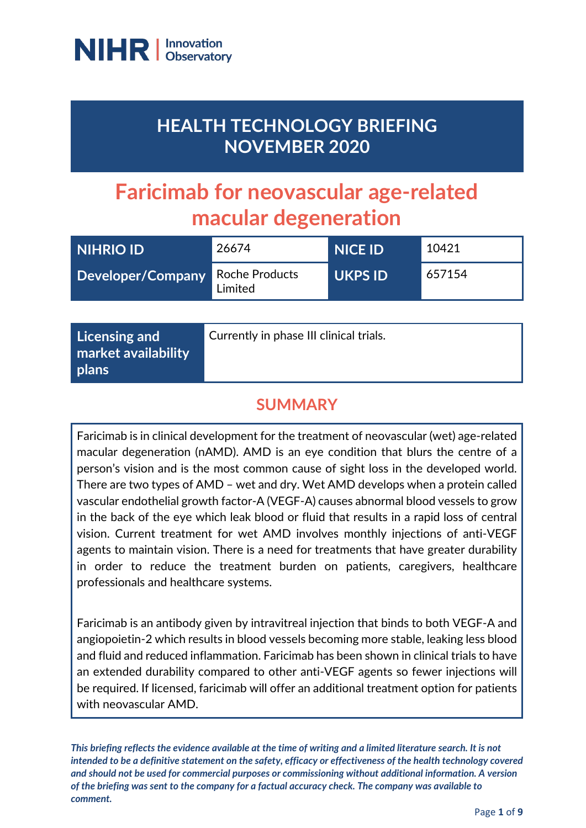

# **HEALTH TECHNOLOGY BRIEFING NOVEMBER 2020**

# **Faricimab for neovascular age-related macular degeneration**

| <b>NIHRIO ID</b>                 | 26674   | <b>NICE ID</b> | 10421  |
|----------------------------------|---------|----------------|--------|
| Developer/Company Roche Products | Limited | <b>UKPS ID</b> | 657154 |

| Licensing and<br>market availability | Currently in phase III clinical trials. |
|--------------------------------------|-----------------------------------------|
| plans                                |                                         |

## **SUMMARY**

Faricimab is in clinical development for the treatment of neovascular (wet) age-related macular degeneration (nAMD). AMD is an eye condition that blurs the centre of a person's vision and is the most common cause of sight loss in the developed world. There are two types of AMD – wet and dry. Wet AMD develops when a protein called vascular endothelial growth factor-A (VEGF-A) causes abnormal blood vessels to grow in the back of the eye which leak blood or fluid that results in a rapid loss of central vision. Current treatment for wet AMD involves monthly injections of anti-VEGF agents to maintain vision. There is a need for treatments that have greater durability in order to reduce the treatment burden on patients, caregivers, healthcare professionals and healthcare systems.

Faricimab is an antibody given by intravitreal injection that binds to both VEGF-A and angiopoietin-2 which results in blood vessels becoming more stable, leaking less blood and fluid and reduced inflammation. Faricimab has been shown in clinical trials to have an extended durability compared to other anti-VEGF agents so fewer injections will be required. If licensed, faricimab will offer an additional treatment option for patients with neovascular AMD.

*This briefing reflects the evidence available at the time of writing and a limited literature search. It is not intended to be a definitive statement on the safety, efficacy or effectiveness of the health technology covered and should not be used for commercial purposes or commissioning without additional information. A version of the briefing was sent to the company for a factual accuracy check. The company was available to comment.*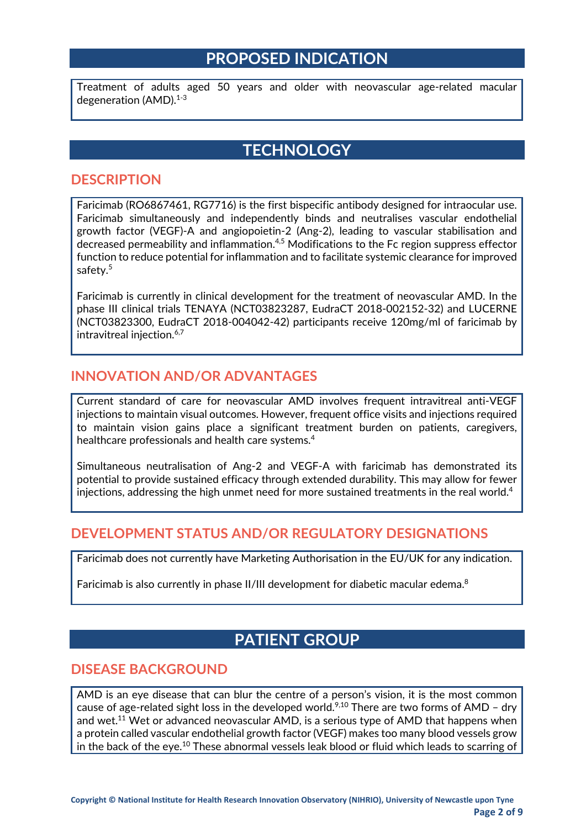## **PROPOSED INDICATION**

Treatment of adults aged 50 years and older with neovascular age-related macular degeneration (AMD). $1-3$ 

## **TECHNOLOGY**

#### **DESCRIPTION**

Faricimab (RO6867461, RG7716) is the first bispecific antibody designed for intraocular use. Faricimab simultaneously and independently binds and neutralises vascular endothelial growth factor (VEGF)-A and angiopoietin-2 (Ang-2), leading to vascular stabilisation and decreased permeability and inflammation.<sup>4,5</sup> Modifications to the Fc region suppress effector function to reduce potential for inflammation and to facilitate systemic clearance for improved safety.<sup>5</sup>

Faricimab is currently in clinical development for the treatment of neovascular AMD. In the phase III clinical trials TENAYA (NCT03823287, EudraCT 2018-002152-32) and LUCERNE (NCT03823300, EudraCT 2018-004042-42) participants receive 120mg/ml of faricimab by intravitreal injection.<sup>6,7</sup>

#### **INNOVATION AND/OR ADVANTAGES**

Current standard of care for neovascular AMD involves frequent intravitreal anti-VEGF injections to maintain visual outcomes. However, frequent office visits and injections required to maintain vision gains place a significant treatment burden on patients, caregivers, healthcare professionals and health care systems.<sup>4</sup>

Simultaneous neutralisation of Ang-2 and VEGF-A with faricimab has demonstrated its potential to provide sustained efficacy through extended durability. This may allow for fewer injections, addressing the high unmet need for more sustained treatments in the real world.<sup>4</sup>

#### **DEVELOPMENT STATUS AND/OR REGULATORY DESIGNATIONS**

Faricimab does not currently have Marketing Authorisation in the EU/UK for any indication.

Faricimab is also currently in phase II/III development for diabetic macular edema.<sup>8</sup>

## **PATIENT GROUP**

#### **DISEASE BACKGROUND**

AMD is an eye disease that can blur the centre of a person's vision, it is the most common cause of age-related sight loss in the developed world.<sup>9,10</sup> There are two forms of AMD - dry and wet.<sup>11</sup> Wet or advanced neovascular AMD, is a serious type of AMD that happens when a protein called vascular endothelial growth factor (VEGF) makes too many blood vessels grow in the back of the eye.<sup>10</sup> These abnormal vessels leak blood or fluid which leads to scarring of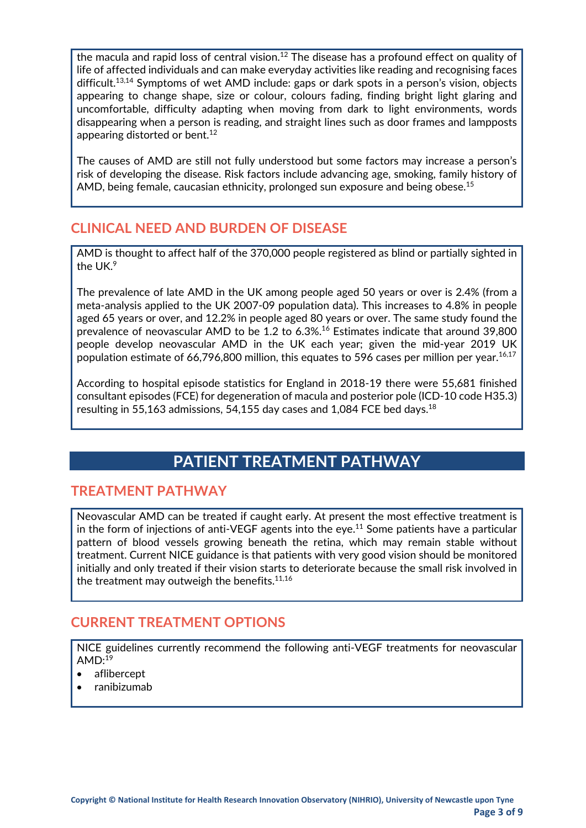the macula and rapid loss of central vision.<sup>12</sup> The disease has a profound effect on quality of life of affected individuals and can make everyday activities like reading and recognising faces difficult. 13,14 Symptoms of wet AMD include: gaps or dark spots in a person's vision, objects appearing to change shape, size or colour, colours fading, finding bright light glaring and uncomfortable, difficulty adapting when moving from dark to light environments, words disappearing when a person is reading, and straight lines such as door frames and lampposts appearing distorted or bent.<sup>12</sup>

The causes of AMD are still not fully understood but some factors may increase a person's risk of developing the disease. Risk factors include advancing age, smoking, family history of AMD, being female, caucasian ethnicity, prolonged sun exposure and being obese.<sup>15</sup>

#### **CLINICAL NEED AND BURDEN OF DISEASE**

AMD is thought to affect half of the 370,000 people registered as blind or partially sighted in the UK.9

The prevalence of late AMD in the UK among people aged 50 years or over is 2.4% (from a meta-analysis applied to the UK 2007-09 population data). This increases to 4.8% in people aged 65 years or over, and 12.2% in people aged 80 years or over. The same study found the prevalence of neovascular AMD to be 1.2 to 6.3%.<sup>16</sup> Estimates indicate that around 39,800 people develop neovascular AMD in the UK each year; given the mid-year 2019 UK population estimate of 66,796,800 million, this equates to 596 cases per million per year.16,17

According to hospital episode statistics for England in 2018-19 there were 55,681 finished consultant episodes (FCE) for degeneration of macula and posterior pole (ICD-10 code H35.3) resulting in 55,163 admissions, 54,155 day cases and 1,084 FCE bed days.<sup>18</sup>

## **PATIENT TREATMENT PATHWAY**

#### **TREATMENT PATHWAY**

Neovascular AMD can be treated if caught early. At present the most effective treatment is in the form of injections of anti-VEGF agents into the eye.<sup>11</sup> Some patients have a particular pattern of blood vessels growing beneath the retina, which may remain stable without treatment. Current NICE guidance is that patients with very good vision should be monitored initially and only treated if their vision starts to deteriorate because the small risk involved in the treatment may outweigh the benefits.<sup>11,16</sup>

#### **CURRENT TREATMENT OPTIONS**

NICE guidelines currently recommend the following anti-VEGF treatments for neovascular  $AMD: <sup>19</sup>$ 

- aflibercept
- ranibizumab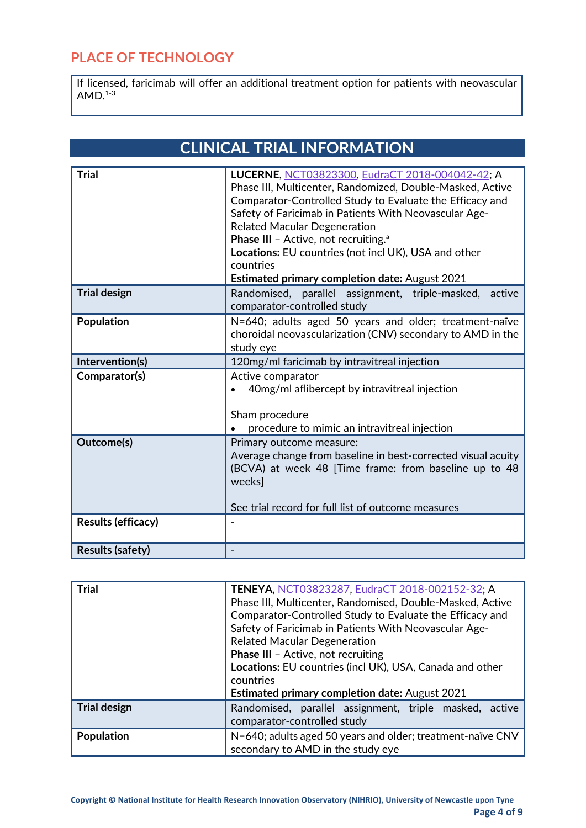## **PLACE OF TECHNOLOGY**

If licensed, faricimab will offer an additional treatment option for patients with neovascular  $AMD.<sup>1-3</sup>$ 

| <b>CLINICAL TRIAL INFORMATION</b> |  |
|-----------------------------------|--|
|-----------------------------------|--|

| <b>Trial</b>              | LUCERNE, NCT03823300, EudraCT 2018-004042-42; A<br>Phase III, Multicenter, Randomized, Double-Masked, Active<br>Comparator-Controlled Study to Evaluate the Efficacy and<br>Safety of Faricimab in Patients With Neovascular Age-<br><b>Related Macular Degeneration</b><br>Phase III - Active, not recruiting. <sup>a</sup><br>Locations: EU countries (not incl UK), USA and other<br>countries |
|---------------------------|---------------------------------------------------------------------------------------------------------------------------------------------------------------------------------------------------------------------------------------------------------------------------------------------------------------------------------------------------------------------------------------------------|
|                           | <b>Estimated primary completion date: August 2021</b>                                                                                                                                                                                                                                                                                                                                             |
| <b>Trial design</b>       | Randomised, parallel assignment, triple-masked, active<br>comparator-controlled study                                                                                                                                                                                                                                                                                                             |
| <b>Population</b>         | N=640; adults aged 50 years and older; treatment-naïve<br>choroidal neovascularization (CNV) secondary to AMD in the<br>study eye                                                                                                                                                                                                                                                                 |
| Intervention(s)           | 120mg/ml faricimab by intravitreal injection                                                                                                                                                                                                                                                                                                                                                      |
| Comparator(s)             | Active comparator<br>40mg/ml aflibercept by intravitreal injection<br>Sham procedure<br>procedure to mimic an intravitreal injection                                                                                                                                                                                                                                                              |
| Outcome(s)                | Primary outcome measure:<br>Average change from baseline in best-corrected visual acuity<br>(BCVA) at week 48 [Time frame: from baseline up to 48<br>weeks]<br>See trial record for full list of outcome measures                                                                                                                                                                                 |
| <b>Results (efficacy)</b> |                                                                                                                                                                                                                                                                                                                                                                                                   |
| <b>Results (safety)</b>   |                                                                                                                                                                                                                                                                                                                                                                                                   |

| <b>Trial</b>        | TENEYA, NCT03823287, EudraCT 2018-002152-32; A             |  |
|---------------------|------------------------------------------------------------|--|
|                     | Phase III, Multicenter, Randomised, Double-Masked, Active  |  |
|                     | Comparator-Controlled Study to Evaluate the Efficacy and   |  |
|                     | Safety of Faricimab in Patients With Neovascular Age-      |  |
|                     | <b>Related Macular Degeneration</b>                        |  |
|                     | Phase III - Active, not recruiting                         |  |
|                     | Locations: EU countries (incl UK), USA, Canada and other   |  |
|                     | countries                                                  |  |
|                     | <b>Estimated primary completion date: August 2021</b>      |  |
| <b>Trial design</b> | Randomised, parallel assignment, triple masked, active     |  |
|                     | comparator-controlled study                                |  |
| Population          | N=640; adults aged 50 years and older; treatment-naïve CNV |  |
|                     | secondary to AMD in the study eye                          |  |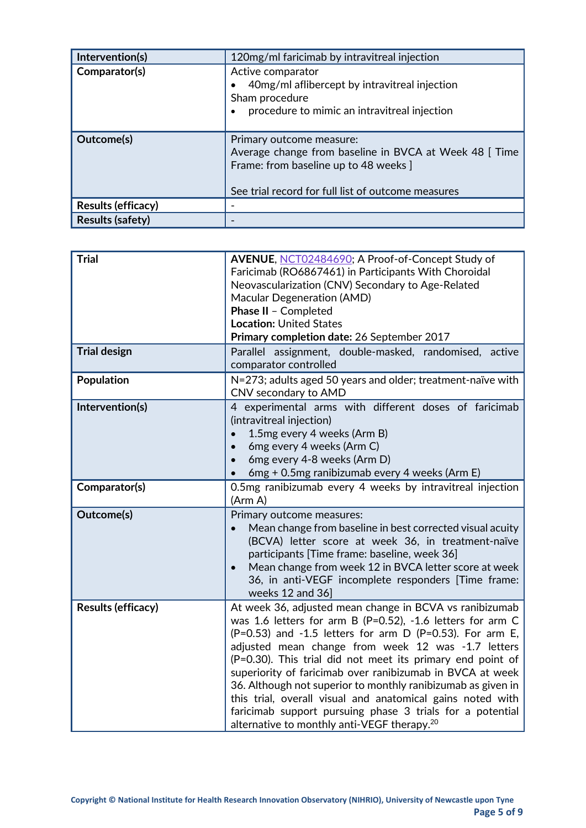| Intervention(s)         | 120mg/ml faricimab by intravitreal injection                                                                                                                                     |
|-------------------------|----------------------------------------------------------------------------------------------------------------------------------------------------------------------------------|
| Comparator(s)           | Active comparator<br>40mg/ml aflibercept by intravitreal injection<br>Sham procedure<br>procedure to mimic an intravitreal injection                                             |
| Outcome(s)              | Primary outcome measure:<br>Average change from baseline in BVCA at Week 48 [Time<br>Frame: from baseline up to 48 weeks ]<br>See trial record for full list of outcome measures |
| Results (efficacy)      |                                                                                                                                                                                  |
| <b>Results (safety)</b> |                                                                                                                                                                                  |

| <b>Trial</b>              | AVENUE, NCT02484690; A Proof-of-Concept Study of<br>Faricimab (RO6867461) in Participants With Choroidal<br>Neovascularization (CNV) Secondary to Age-Related<br>Macular Degeneration (AMD)<br>Phase II - Completed<br><b>Location: United States</b><br>Primary completion date: 26 September 2017                                                                                                                                                                                                                                                                                                                        |
|---------------------------|----------------------------------------------------------------------------------------------------------------------------------------------------------------------------------------------------------------------------------------------------------------------------------------------------------------------------------------------------------------------------------------------------------------------------------------------------------------------------------------------------------------------------------------------------------------------------------------------------------------------------|
| <b>Trial design</b>       | Parallel assignment, double-masked, randomised, active<br>comparator controlled                                                                                                                                                                                                                                                                                                                                                                                                                                                                                                                                            |
| <b>Population</b>         | N=273; adults aged 50 years and older; treatment-naïve with<br>CNV secondary to AMD                                                                                                                                                                                                                                                                                                                                                                                                                                                                                                                                        |
| Intervention(s)           | 4 experimental arms with different doses of faricimab<br>(intravitreal injection)<br>1.5mg every 4 weeks (Arm B)<br>6mg every 4 weeks (Arm C)<br>6mg every 4-8 weeks (Arm D)<br>6mg + 0.5mg ranibizumab every 4 weeks (Arm E)                                                                                                                                                                                                                                                                                                                                                                                              |
| Comparator(s)             | 0.5mg ranibizumab every 4 weeks by intravitreal injection<br>(Arm A)                                                                                                                                                                                                                                                                                                                                                                                                                                                                                                                                                       |
| Outcome(s)                | Primary outcome measures:<br>Mean change from baseline in best corrected visual acuity<br>(BCVA) letter score at week 36, in treatment-naïve<br>participants [Time frame: baseline, week 36]<br>Mean change from week 12 in BVCA letter score at week<br>36, in anti-VEGF incomplete responders [Time frame:<br>weeks 12 and 36]                                                                                                                                                                                                                                                                                           |
| <b>Results (efficacy)</b> | At week 36, adjusted mean change in BCVA vs ranibizumab<br>was 1.6 letters for arm B (P=0.52), -1.6 letters for arm C<br>$(P=0.53)$ and -1.5 letters for arm D (P=0.53). For arm E,<br>adjusted mean change from week 12 was -1.7 letters<br>(P=0.30). This trial did not meet its primary end point of<br>superiority of faricimab over ranibizumab in BVCA at week<br>36. Although not superior to monthly ranibizumab as given in<br>this trial, overall visual and anatomical gains noted with<br>faricimab support pursuing phase 3 trials for a potential<br>alternative to monthly anti-VEGF therapy. <sup>20</sup> |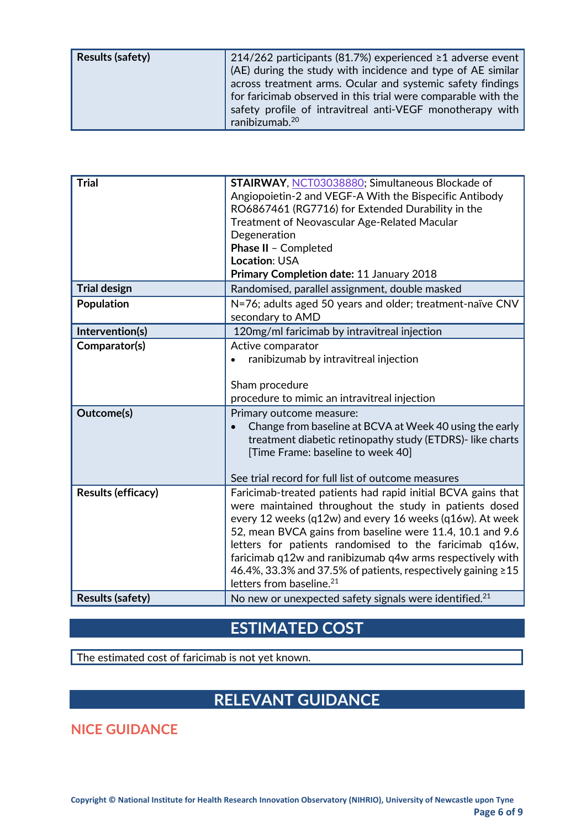| <b>Results (safety)</b> | 214/262 participants (81.7%) experienced $\geq$ 1 adverse event<br>(AE) during the study with incidence and type of AE similar<br>across treatment arms. Ocular and systemic safety findings<br>for faricimab observed in this trial were comparable with the<br>safety profile of intravitreal anti-VEGF monotherapy with |
|-------------------------|----------------------------------------------------------------------------------------------------------------------------------------------------------------------------------------------------------------------------------------------------------------------------------------------------------------------------|
|                         | ranibizumab. <sup>20</sup>                                                                                                                                                                                                                                                                                                 |

| <b>Trial</b>              | <b>STAIRWAY, NCT03038880; Simultaneous Blockade of</b><br>Angiopoietin-2 and VEGF-A With the Bispecific Antibody<br>RO6867461 (RG7716) for Extended Durability in the<br><b>Treatment of Neovascular Age-Related Macular</b><br>Degeneration<br>Phase II - Completed<br>Location: USA<br>Primary Completion date: 11 January 2018                                                                                                                                              |
|---------------------------|--------------------------------------------------------------------------------------------------------------------------------------------------------------------------------------------------------------------------------------------------------------------------------------------------------------------------------------------------------------------------------------------------------------------------------------------------------------------------------|
| <b>Trial design</b>       | Randomised, parallel assignment, double masked                                                                                                                                                                                                                                                                                                                                                                                                                                 |
| Population                | N=76; adults aged 50 years and older; treatment-naïve CNV<br>secondary to AMD                                                                                                                                                                                                                                                                                                                                                                                                  |
| Intervention(s)           | 120mg/ml faricimab by intravitreal injection                                                                                                                                                                                                                                                                                                                                                                                                                                   |
| Comparator(s)             | Active comparator<br>ranibizumab by intravitreal injection<br>Sham procedure<br>procedure to mimic an intravitreal injection                                                                                                                                                                                                                                                                                                                                                   |
| Outcome(s)                | Primary outcome measure:<br>Change from baseline at BCVA at Week 40 using the early<br>treatment diabetic retinopathy study (ETDRS)-like charts<br>[Time Frame: baseline to week 40]<br>See trial record for full list of outcome measures                                                                                                                                                                                                                                     |
| <b>Results (efficacy)</b> | Faricimab-treated patients had rapid initial BCVA gains that<br>were maintained throughout the study in patients dosed<br>every 12 weeks (q12w) and every 16 weeks (q16w). At week<br>52, mean BVCA gains from baseline were 11.4, 10.1 and 9.6<br>letters for patients randomised to the faricimab q16w,<br>faricimab q12w and ranibizumab q4w arms respectively with<br>46.4%, 33.3% and 37.5% of patients, respectively gaining ≥15<br>letters from baseline. <sup>21</sup> |
| <b>Results (safety)</b>   | No new or unexpected safety signals were identified. <sup>21</sup>                                                                                                                                                                                                                                                                                                                                                                                                             |

## **ESTIMATED COST**

The estimated cost of faricimab is not yet known.

# **RELEVANT GUIDANCE**

**NICE GUIDANCE**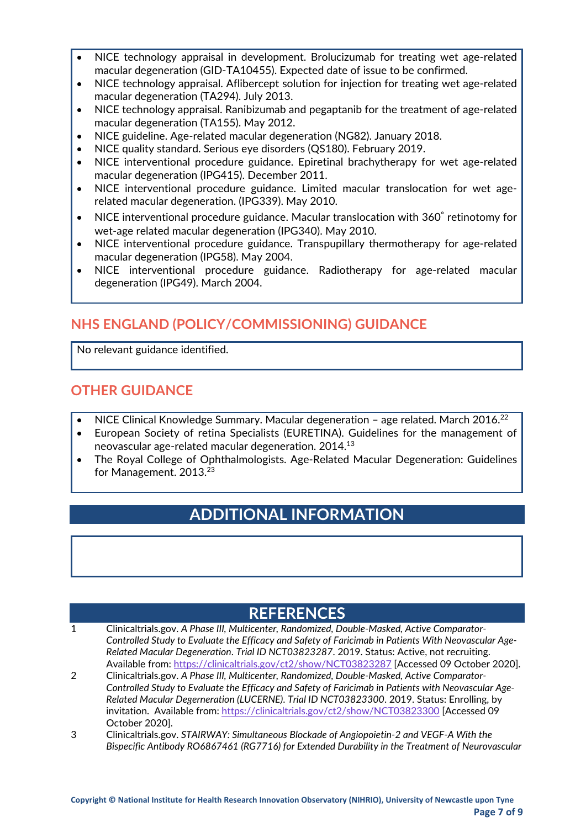- NICE technology appraisal in development. Brolucizumab for treating wet age-related macular degeneration (GID-TA10455). Expected date of issue to be confirmed.
- NICE technology appraisal. Aflibercept solution for injection for treating wet age-related macular degeneration (TA294). July 2013.
- NICE technology appraisal. Ranibizumab and pegaptanib for the treatment of age-related macular degeneration (TA155). May 2012.
- NICE guideline. Age-related macular degeneration (NG82). January 2018.
- NICE quality standard. Serious eye disorders (QS180). February 2019.
- NICE interventional procedure guidance. Epiretinal brachytherapy for wet age-related macular degeneration (IPG415). December 2011.
- NICE interventional procedure guidance. Limited macular translocation for wet agerelated macular degeneration. (IPG339). May 2010.
- NICE interventional procedure guidance. Macular translocation with 360◦ retinotomy for wet-age related macular degeneration (IPG340). May 2010.
- NICE interventional procedure guidance. Transpupillary thermotherapy for age-related macular degeneration (IPG58). May 2004.
- NICE interventional procedure guidance. Radiotherapy for age-related macular degeneration (IPG49). March 2004.

#### **NHS ENGLAND (POLICY/COMMISSIONING) GUIDANCE**

No relevant guidance identified.

#### **OTHER GUIDANCE**

- NICE Clinical Knowledge Summary. Macular degeneration age related. March 2016.22
- European Society of retina Specialists (EURETINA). Guidelines for the management of neovascular age-related macular degeneration. 2014.13
- The Royal College of Ophthalmologists. Age-Related Macular Degeneration: Guidelines for Management. 2013.<sup>23</sup>

## **ADDITIONAL INFORMATION**

## **REFERENCES**

- 1 Clinicaltrials.gov. *A Phase III, Multicenter, Randomized, Double-Masked, Active Comparator-Controlled Study to Evaluate the Efficacy and Safety of Faricimab in Patients With Neovascular Age-Related Macular Degeneration*. *Trial ID NCT03823287*. 2019. Status: Active, not recruiting. Available from[: https://clinicaltrials.gov/ct2/show/NCT03823287](https://clinicaltrials.gov/ct2/show/NCT03823287) [Accessed 09 October 2020].
- 2 Clinicaltrials.gov. *A Phase III, Multicenter, Randomized, Double-Masked, Active Comparator-Controlled Study to Evaluate the Efficacy and Safety of Faricimab in Patients with Neovascular Age-Related Macular Degerneration (LUCERNE)*. *Trial ID NCT03823300*. 2019. Status: Enrolling, by invitation. Available from:<https://clinicaltrials.gov/ct2/show/NCT03823300> [Accessed 09 October 2020].
- 3 Clinicaltrials.gov. *STAIRWAY: Simultaneous Blockade of Angiopoietin-2 and VEGF-A With the Bispecific Antibody RO6867461 (RG7716) for Extended Durability in the Treatment of Neurovascular*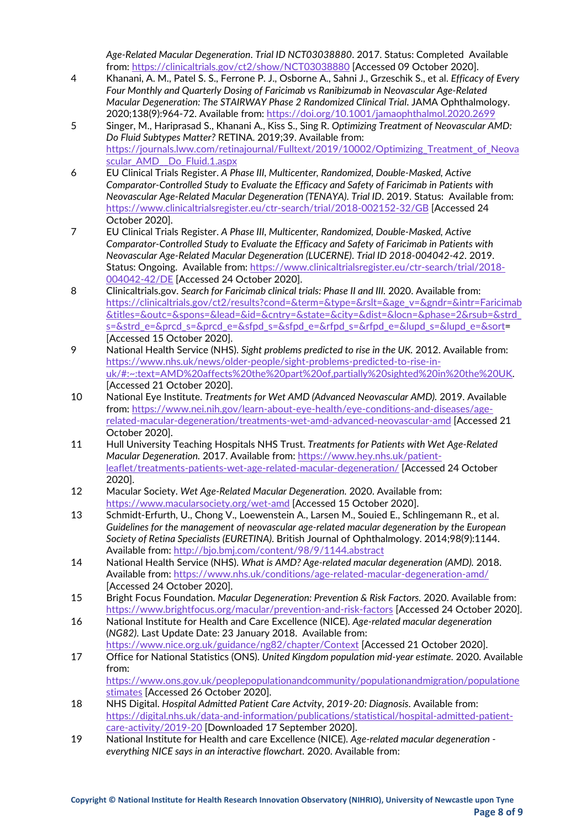*Age-Related Macular Degeneration*. *Trial ID NCT03038880*. 2017. Status: Completed Available from:<https://clinicaltrials.gov/ct2/show/NCT03038880> [Accessed 09 October 2020].

- 4 Khanani, A. M., Patel S. S., Ferrone P. J., Osborne A., Sahni J., Grzeschik S., et al. *Efficacy of Every Four Monthly and Quarterly Dosing of Faricimab vs Ranibizumab in Neovascular Age-Related Macular Degeneration: The STAIRWAY Phase 2 Randomized Clinical Trial*. JAMA Ophthalmology. 2020;138(9):964-72. Available from:<https://doi.org/10.1001/jamaophthalmol.2020.2699>
- 5 Singer, M., Hariprasad S., Khanani A., Kiss S., Sing R. *Optimizing Treatment of Neovascular AMD: Do Fluid Subtypes Matter?* RETINA. 2019;39. Available from: [https://journals.lww.com/retinajournal/Fulltext/2019/10002/Optimizing\\_Treatment\\_of\\_Neova](https://journals.lww.com/retinajournal/Fulltext/2019/10002/Optimizing_Treatment_of_Neovascular_AMD__Do_Fluid.1.aspx) [scular\\_AMD\\_\\_Do\\_Fluid.1.aspx](https://journals.lww.com/retinajournal/Fulltext/2019/10002/Optimizing_Treatment_of_Neovascular_AMD__Do_Fluid.1.aspx)
- 6 EU Clinical Trials Register. *A Phase III, Multicenter, Randomized, Double-Masked, Active Comparator-Controlled Study to Evaluate the Efficacy and Safety of Faricimab in Patients with Neovascular Age-Related Macular Degeneration (TENAYA)*. *Trial ID*. 2019. Status: Available from: <https://www.clinicaltrialsregister.eu/ctr-search/trial/2018-002152-32/GB> [Accessed 24 October 2020].
- 7 EU Clinical Trials Register. *A Phase III, Multicenter, Randomized, Double-Masked, Active Comparator-Controlled Study to Evaluate the Efficacy and Safety of Faricimab in Patients with Neovascular Age-Related Macular Degeneration (LUCERNE)*. *Trial ID 2018-004042-42*. 2019. Status: Ongoing. Available from: [https://www.clinicaltrialsregister.eu/ctr-search/trial/2018-](https://www.clinicaltrialsregister.eu/ctr-search/trial/2018-004042-42/DE) [004042-42/DE](https://www.clinicaltrialsregister.eu/ctr-search/trial/2018-004042-42/DE) [Accessed 24 October 2020].
- 8 Clinicaltrials.gov. *Search for Faricimab clinical trials: Phase II and III.* 2020. Available from: [https://clinicaltrials.gov/ct2/results?cond=&term=&type=&rslt=&age\\_v=&gndr=&intr=Faricimab](https://clinicaltrials.gov/ct2/results?cond=&term=&type=&rslt=&age_v=&gndr=&intr=Faricimab&titles=&outc=&spons=&lead=&id=&cntry=&state=&city=&dist=&locn=&phase=2&rsub=&strd_s=&strd_e=&prcd_s=&prcd_e=&sfpd_s=&sfpd_e=&rfpd_s=&rfpd_e=&lupd_s=&lupd_e=&sort) [&titles=&outc=&spons=&lead=&id=&cntry=&state=&city=&dist=&locn=&phase=2&rsub=&strd\\_](https://clinicaltrials.gov/ct2/results?cond=&term=&type=&rslt=&age_v=&gndr=&intr=Faricimab&titles=&outc=&spons=&lead=&id=&cntry=&state=&city=&dist=&locn=&phase=2&rsub=&strd_s=&strd_e=&prcd_s=&prcd_e=&sfpd_s=&sfpd_e=&rfpd_s=&rfpd_e=&lupd_s=&lupd_e=&sort) [s=&strd\\_e=&prcd\\_s=&prcd\\_e=&sfpd\\_s=&sfpd\\_e=&rfpd\\_s=&rfpd\\_e=&lupd\\_s=&lupd\\_e=&sort=](https://clinicaltrials.gov/ct2/results?cond=&term=&type=&rslt=&age_v=&gndr=&intr=Faricimab&titles=&outc=&spons=&lead=&id=&cntry=&state=&city=&dist=&locn=&phase=2&rsub=&strd_s=&strd_e=&prcd_s=&prcd_e=&sfpd_s=&sfpd_e=&rfpd_s=&rfpd_e=&lupd_s=&lupd_e=&sort) [Accessed 15 October 2020].
- 9 National Health Service (NHS). *Sight problems predicted to rise in the UK.* 2012. Available from: [https://www.nhs.uk/news/older-people/sight-problems-predicted-to-rise-in](https://www.nhs.uk/news/older-people/sight-problems-predicted-to-rise-in-uk/#:%7E:text=AMD%20affects%20the%20part%20of,partially%20sighted%20in%20the%20UK)[uk/#:~:text=AMD%20affects%20the%20part%20of,partially%20sighted%20in%20the%20UK.](https://www.nhs.uk/news/older-people/sight-problems-predicted-to-rise-in-uk/#:%7E:text=AMD%20affects%20the%20part%20of,partially%20sighted%20in%20the%20UK)  [Accessed 21 October 2020].
- 10 National Eye Institute. *Treatments for Wet AMD (Advanced Neovascular AMD).* 2019. Available from: [https://www.nei.nih.gov/learn-about-eye-health/eye-conditions-and-diseases/age](https://www.nei.nih.gov/learn-about-eye-health/eye-conditions-and-diseases/age-related-macular-degeneration/treatments-wet-amd-advanced-neovascular-amd)[related-macular-degeneration/treatments-wet-amd-advanced-neovascular-amd](https://www.nei.nih.gov/learn-about-eye-health/eye-conditions-and-diseases/age-related-macular-degeneration/treatments-wet-amd-advanced-neovascular-amd) [Accessed 21 October 2020].
- 11 Hull University Teaching Hospitals NHS Trust. *Treatments for Patients with Wet Age-Related Macular Degeneration.* 2017. Available from[: https://www.hey.nhs.uk/patient](https://www.hey.nhs.uk/patient-leaflet/treatments-patients-wet-age-related-macular-degeneration/)[leaflet/treatments-patients-wet-age-related-macular-degeneration/](https://www.hey.nhs.uk/patient-leaflet/treatments-patients-wet-age-related-macular-degeneration/) [Accessed 24 October 2020].
- 12 Macular Society. *Wet Age-Related Macular Degeneration.* 2020. Available from: <https://www.macularsociety.org/wet-amd> [Accessed 15 October 2020].
- 13 Schmidt-Erfurth, U., Chong V., Loewenstein A., Larsen M., Souied E., Schlingemann R., et al. *Guidelines for the management of neovascular age-related macular degeneration by the European Society of Retina Specialists (EURETINA)*. British Journal of Ophthalmology. 2014;98(9):1144. Available from:<http://bjo.bmj.com/content/98/9/1144.abstract>
- 14 National Health Service (NHS). *What is AMD? Age-related macular degeneration (AMD).* 2018. Available from:<https://www.nhs.uk/conditions/age-related-macular-degeneration-amd/> [Accessed 24 October 2020].
- 15 Bright Focus Foundation. *Macular Degeneration: Prevention & Risk Factors.* 2020. Available from: <https://www.brightfocus.org/macular/prevention-and-risk-factors> [Accessed 24 October 2020].
- 16 National Institute for Health and Care Excellence (NICE). *Age-related macular degeneration* (*NG82)*. Last Update Date: 23 January 2018. Available from: <https://www.nice.org.uk/guidance/ng82/chapter/Context> [Accessed 21 October 2020].
- 17 Office for National Statistics (ONS). *United Kingdom population mid-year estimate.* 2020. Available from: [https://www.ons.gov.uk/peoplepopulationandcommunity/populationandmigration/populatione](https://www.ons.gov.uk/peoplepopulationandcommunity/populationandmigration/populationestimates) [stimates](https://www.ons.gov.uk/peoplepopulationandcommunity/populationandmigration/populationestimates) [Accessed 26 October 2020].
- 18 NHS Digital. *Hospital Admitted Patient Care Actvity, 2019-20: Diagnosis*. Available from: [https://digital.nhs.uk/data-and-information/publications/statistical/hospital-admitted-patient](https://digital.nhs.uk/data-and-information/publications/statistical/hospital-admitted-patient-care-activity/2019-20)[care-activity/2019-20](https://digital.nhs.uk/data-and-information/publications/statistical/hospital-admitted-patient-care-activity/2019-20) [Downloaded 17 September 2020].
- 19 National Institute for Health and care Excellence (NICE). *Age-related macular degeneration everything NICE says in an interactive flowchart.* 2020. Available from: